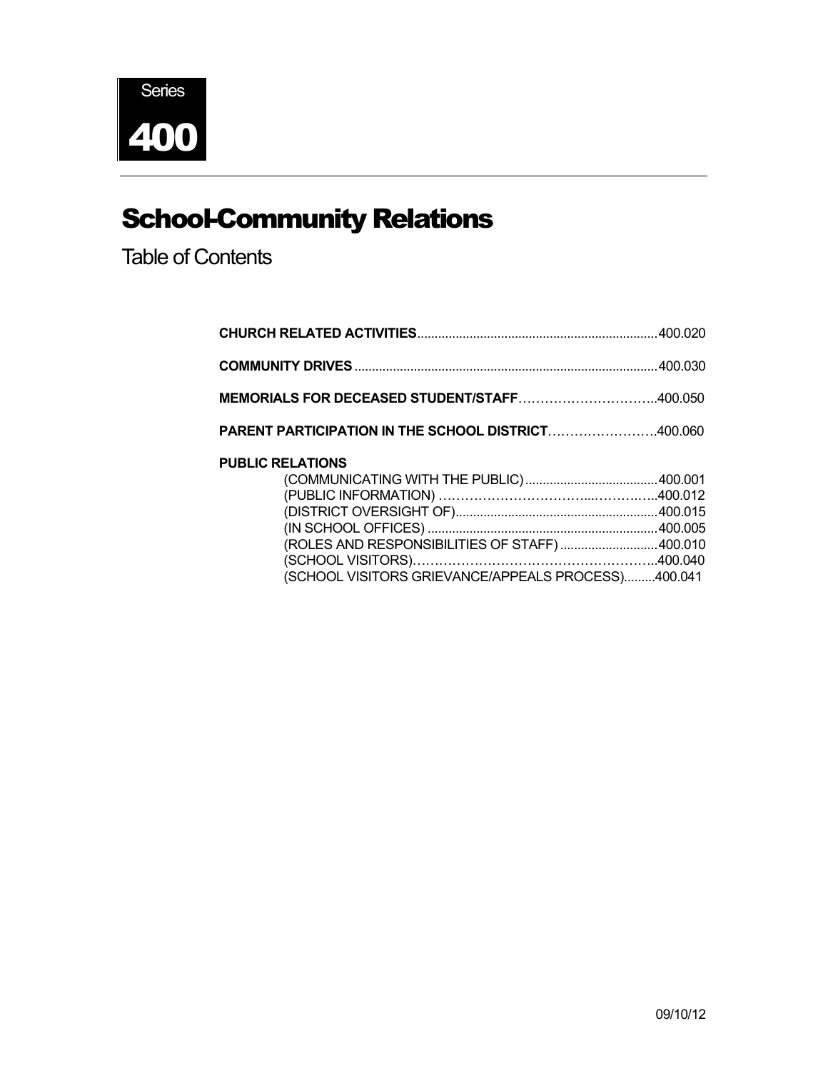

# School-Community Relations

Table of Contents

| MEMORIALS FOR DECEASED STUDENT/STAFF400.050        |  |
|----------------------------------------------------|--|
| PARENT PARTICIPATION IN THE SCHOOL DISTRICT400.060 |  |
| <b>PUBLIC RELATIONS</b>                            |  |
|                                                    |  |
|                                                    |  |
|                                                    |  |
|                                                    |  |
| (ROLES AND RESPONSIBILITIES OF STAFF)400.010       |  |
|                                                    |  |
| (SCHOOL VISITORS GRIEVANCE/APPEALS PROCESS)400.041 |  |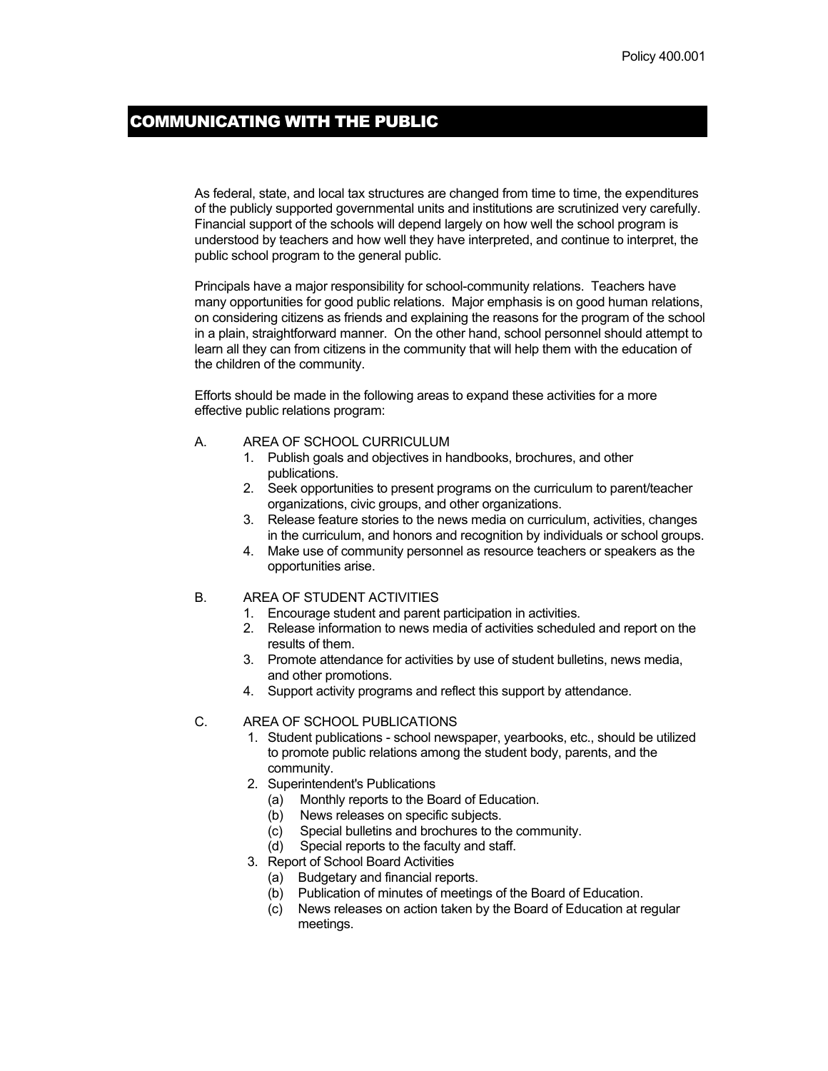### COMMUNICATING WITH THE PUBLIC

As federal, state, and local tax structures are changed from time to time, the expenditures of the publicly supported governmental units and institutions are scrutinized very carefully. Financial support of the schools will depend largely on how well the school program is understood by teachers and how well they have interpreted, and continue to interpret, the public school program to the general public.

Principals have a major responsibility for school-community relations. Teachers have many opportunities for good public relations. Major emphasis is on good human relations, on considering citizens as friends and explaining the reasons for the program of the school in a plain, straightforward manner. On the other hand, school personnel should attempt to learn all they can from citizens in the community that will help them with the education of the children of the community.

Efforts should be made in the following areas to expand these activities for a more effective public relations program:

#### A. AREA OF SCHOOL CURRICULUM

- 1. Publish goals and objectives in handbooks, brochures, and other publications.
- 2. Seek opportunities to present programs on the curriculum to parent/teacher organizations, civic groups, and other organizations.
- 3. Release feature stories to the news media on curriculum, activities, changes in the curriculum, and honors and recognition by individuals or school groups.
- 4. Make use of community personnel as resource teachers or speakers as the opportunities arise.

#### B. AREA OF STUDENT ACTIVITIES

- 1. Encourage student and parent participation in activities.
- 2. Release information to news media of activities scheduled and report on the results of them.
- 3. Promote attendance for activities by use of student bulletins, news media, and other promotions.
- 4. Support activity programs and reflect this support by attendance.

#### C. AREA OF SCHOOL PUBLICATIONS

- 1. Student publications school newspaper, yearbooks, etc., should be utilized to promote public relations among the student body, parents, and the community.
- 2. Superintendent's Publications
	- (a) Monthly reports to the Board of Education.
	- (b) News releases on specific subjects.
	- (c) Special bulletins and brochures to the community.
	- (d) Special reports to the faculty and staff.
- 3. Report of School Board Activities
	- (a) Budgetary and financial reports.
	- (b) Publication of minutes of meetings of the Board of Education.
	- (c) News releases on action taken by the Board of Education at regular meetings.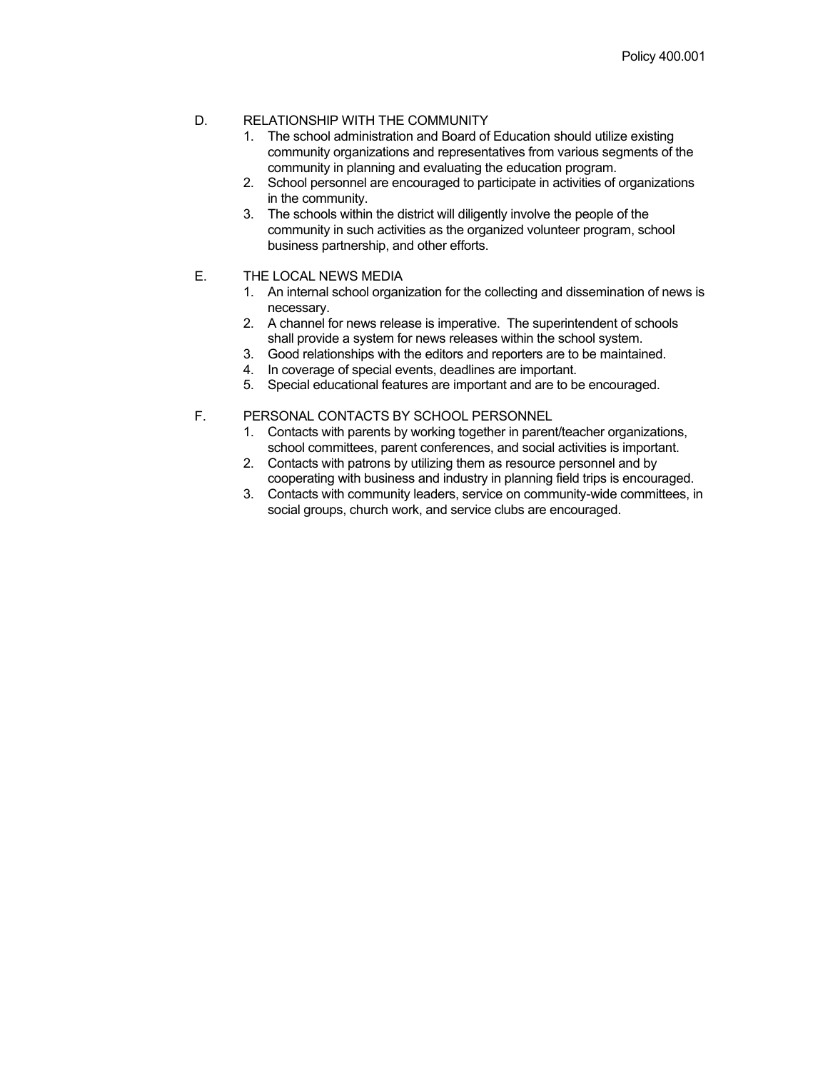### D. RELATIONSHIP WITH THE COMMUNITY

- 1. The school administration and Board of Education should utilize existing community organizations and representatives from various segments of the community in planning and evaluating the education program.
- 2. School personnel are encouraged to participate in activities of organizations in the community.
- 3. The schools within the district will diligently involve the people of the community in such activities as the organized volunteer program, school business partnership, and other efforts.

#### E. THE LOCAL NEWS MEDIA

- 1. An internal school organization for the collecting and dissemination of news is necessary.
- 2. A channel for news release is imperative. The superintendent of schools shall provide a system for news releases within the school system.
- 3. Good relationships with the editors and reporters are to be maintained.
- 4. In coverage of special events, deadlines are important.
- 5. Special educational features are important and are to be encouraged.

#### F. PERSONAL CONTACTS BY SCHOOL PERSONNEL

- 1. Contacts with parents by working together in parent/teacher organizations, school committees, parent conferences, and social activities is important.
- 2. Contacts with patrons by utilizing them as resource personnel and by cooperating with business and industry in planning field trips is encouraged.
- 3. Contacts with community leaders, service on community-wide committees, in social groups, church work, and service clubs are encouraged.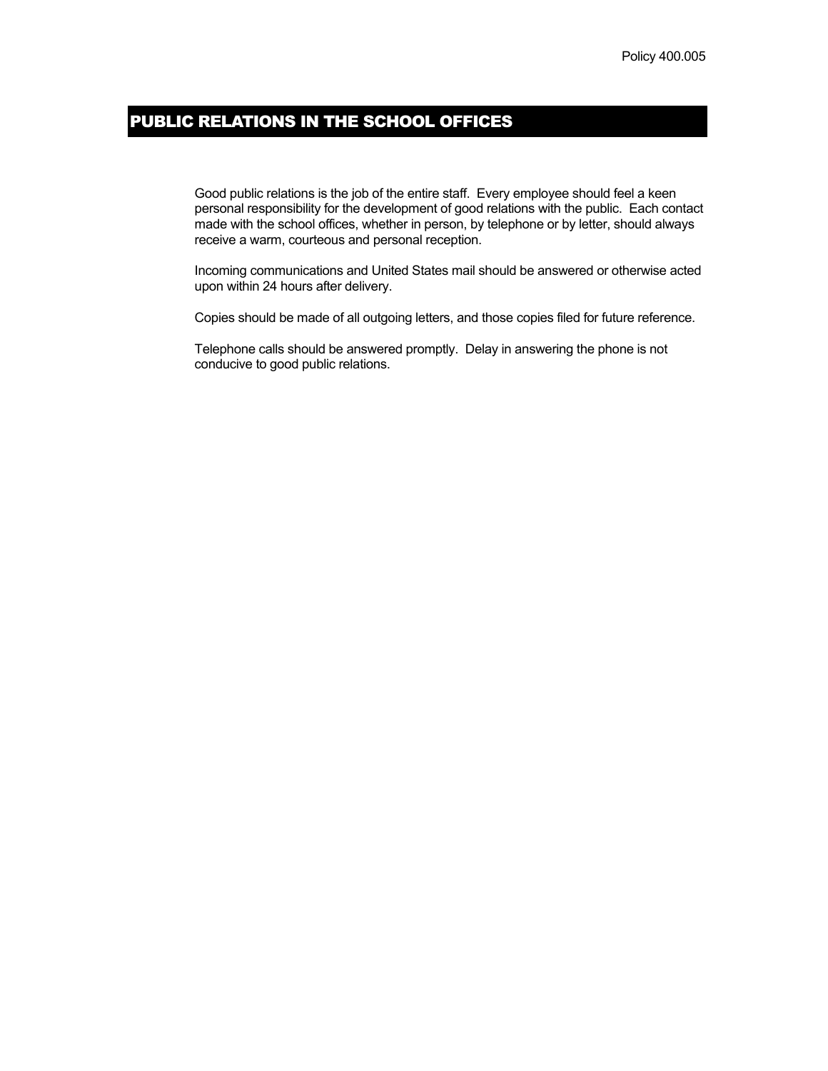# PUBLIC RELATIONS IN THE SCHOOL OFFICES

Good public relations is the job of the entire staff. Every employee should feel a keen personal responsibility for the development of good relations with the public. Each contact made with the school offices, whether in person, by telephone or by letter, should always receive a warm, courteous and personal reception.

Incoming communications and United States mail should be answered or otherwise acted upon within 24 hours after delivery.

Copies should be made of all outgoing letters, and those copies filed for future reference.

Telephone calls should be answered promptly. Delay in answering the phone is not conducive to good public relations.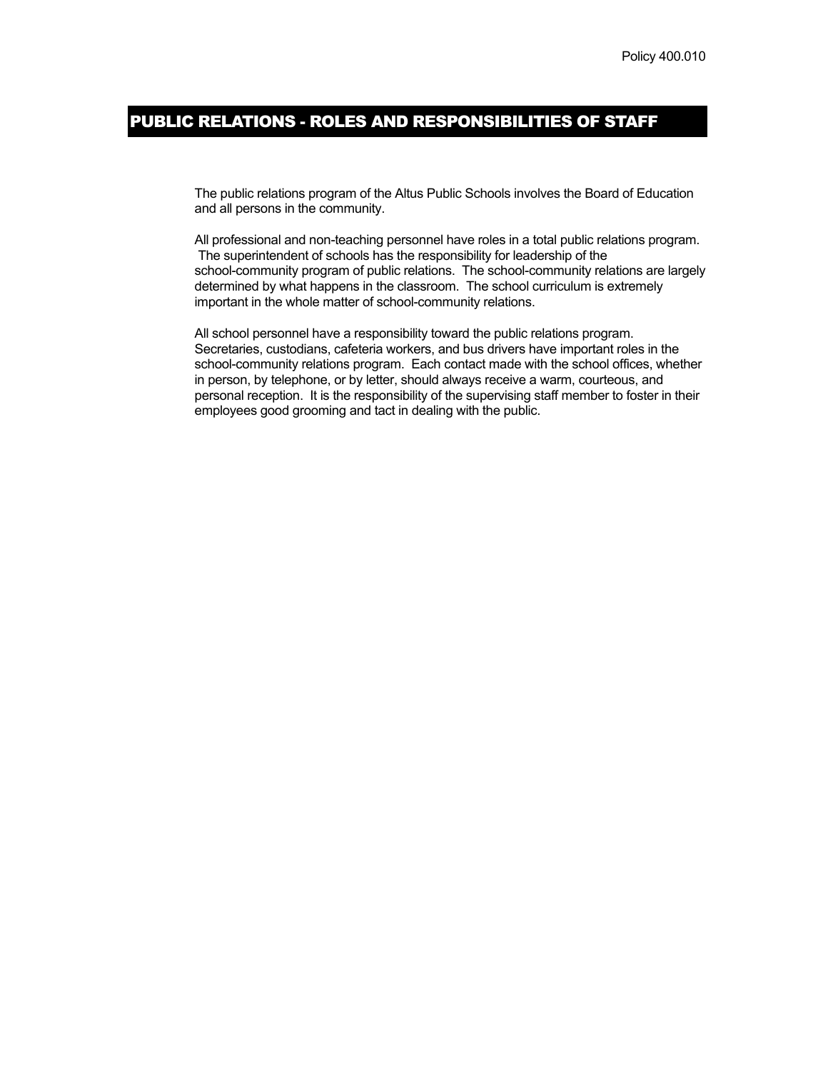### PUBLIC RELATIONS - ROLES AND RESPONSIBILITIES OF STAFF

The public relations program of the Altus Public Schools involves the Board of Education and all persons in the community.

All professional and non-teaching personnel have roles in a total public relations program. The superintendent of schools has the responsibility for leadership of the school-community program of public relations. The school-community relations are largely determined by what happens in the classroom. The school curriculum is extremely important in the whole matter of school-community relations.

All school personnel have a responsibility toward the public relations program. Secretaries, custodians, cafeteria workers, and bus drivers have important roles in the school-community relations program. Each contact made with the school offices, whether in person, by telephone, or by letter, should always receive a warm, courteous, and personal reception. It is the responsibility of the supervising staff member to foster in their employees good grooming and tact in dealing with the public.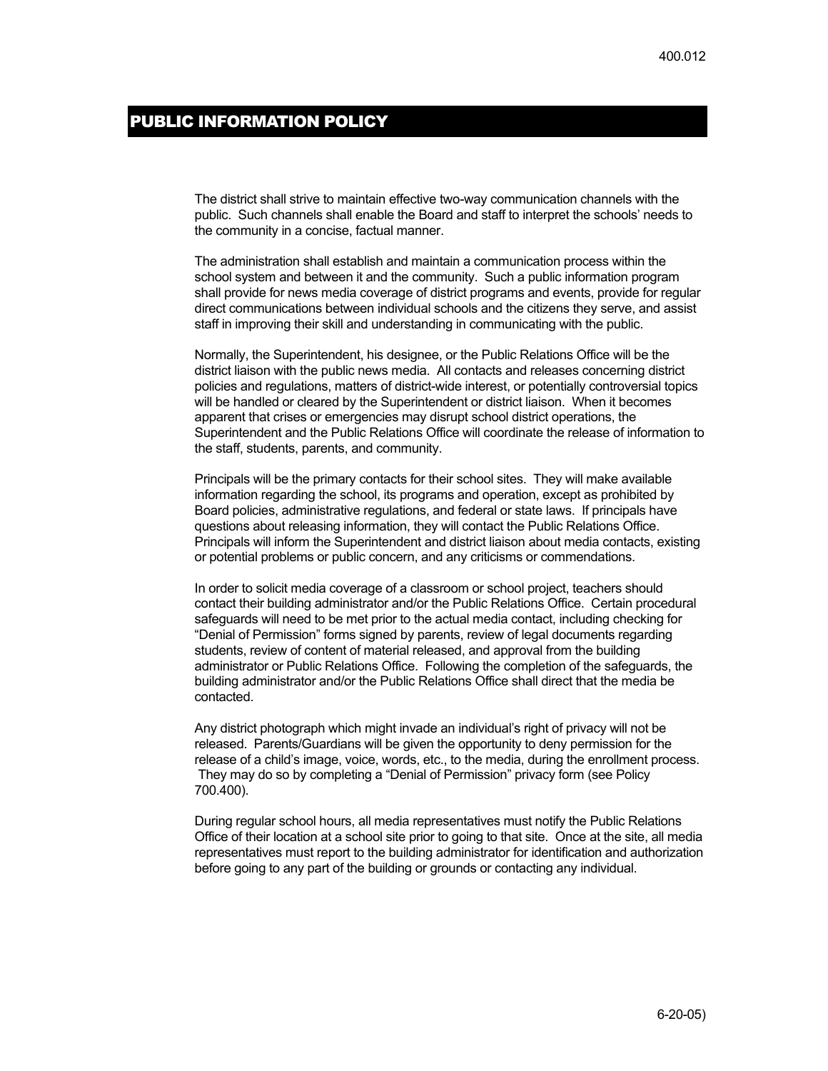### PUBLIC INFORMATION POLICY

The district shall strive to maintain effective two-way communication channels with the public. Such channels shall enable the Board and staff to interpret the schools' needs to the community in a concise, factual manner.

The administration shall establish and maintain a communication process within the school system and between it and the community. Such a public information program shall provide for news media coverage of district programs and events, provide for regular direct communications between individual schools and the citizens they serve, and assist staff in improving their skill and understanding in communicating with the public.

Normally, the Superintendent, his designee, or the Public Relations Office will be the district liaison with the public news media. All contacts and releases concerning district policies and regulations, matters of district-wide interest, or potentially controversial topics will be handled or cleared by the Superintendent or district liaison. When it becomes apparent that crises or emergencies may disrupt school district operations, the Superintendent and the Public Relations Office will coordinate the release of information to the staff, students, parents, and community.

Principals will be the primary contacts for their school sites. They will make available information regarding the school, its programs and operation, except as prohibited by Board policies, administrative regulations, and federal or state laws. If principals have questions about releasing information, they will contact the Public Relations Office. Principals will inform the Superintendent and district liaison about media contacts, existing or potential problems or public concern, and any criticisms or commendations.

In order to solicit media coverage of a classroom or school project, teachers should contact their building administrator and/or the Public Relations Office. Certain procedural safeguards will need to be met prior to the actual media contact, including checking for "Denial of Permission" forms signed by parents, review of legal documents regarding students, review of content of material released, and approval from the building administrator or Public Relations Office. Following the completion of the safeguards, the building administrator and/or the Public Relations Office shall direct that the media be contacted.

Any district photograph which might invade an individual's right of privacy will not be released. Parents/Guardians will be given the opportunity to deny permission for the release of a child's image, voice, words, etc., to the media, during the enrollment process. They may do so by completing a "Denial of Permission" privacy form (see Policy 700.400).

During regular school hours, all media representatives must notify the Public Relations Office of their location at a school site prior to going to that site. Once at the site, all media representatives must report to the building administrator for identification and authorization before going to any part of the building or grounds or contacting any individual.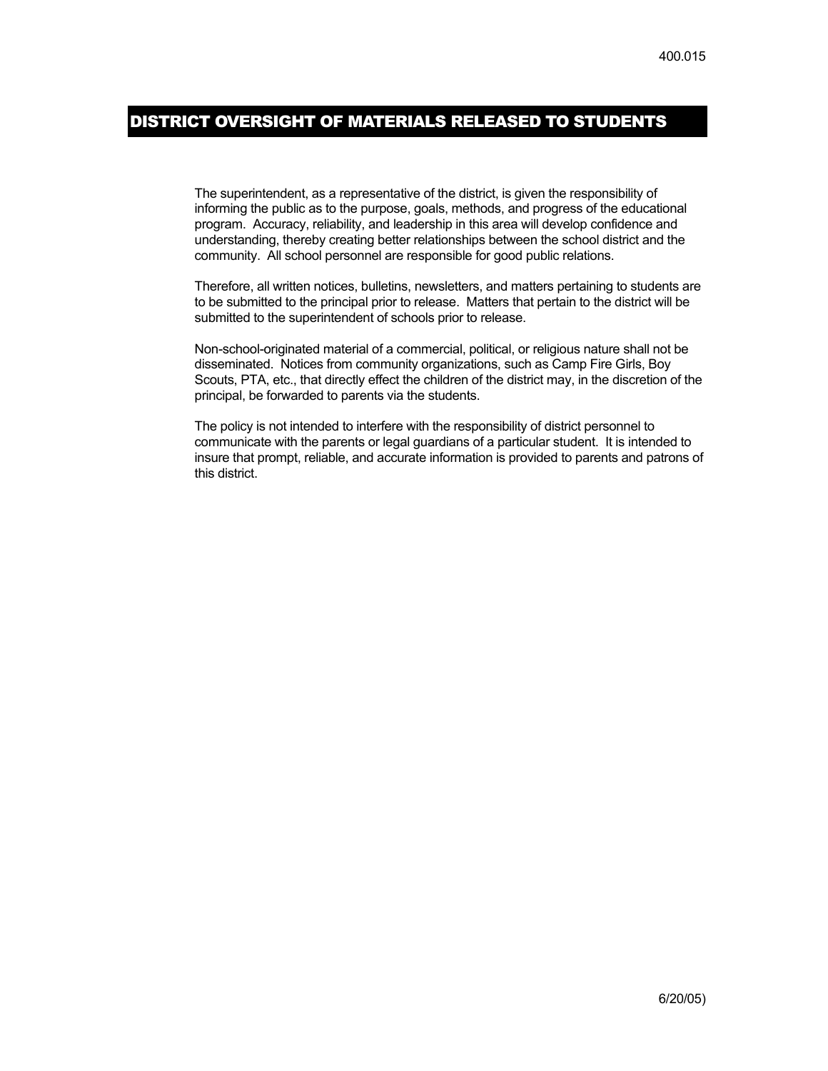### DISTRICT OVERSIGHT OF MATERIALS RELEASED TO STUDENTS

The superintendent, as a representative of the district, is given the responsibility of informing the public as to the purpose, goals, methods, and progress of the educational program. Accuracy, reliability, and leadership in this area will develop confidence and understanding, thereby creating better relationships between the school district and the community. All school personnel are responsible for good public relations.

Therefore, all written notices, bulletins, newsletters, and matters pertaining to students are to be submitted to the principal prior to release. Matters that pertain to the district will be submitted to the superintendent of schools prior to release.

Non-school-originated material of a commercial, political, or religious nature shall not be disseminated. Notices from community organizations, such as Camp Fire Girls, Boy Scouts, PTA, etc., that directly effect the children of the district may, in the discretion of the principal, be forwarded to parents via the students.

The policy is not intended to interfere with the responsibility of district personnel to communicate with the parents or legal guardians of a particular student. It is intended to insure that prompt, reliable, and accurate information is provided to parents and patrons of this district.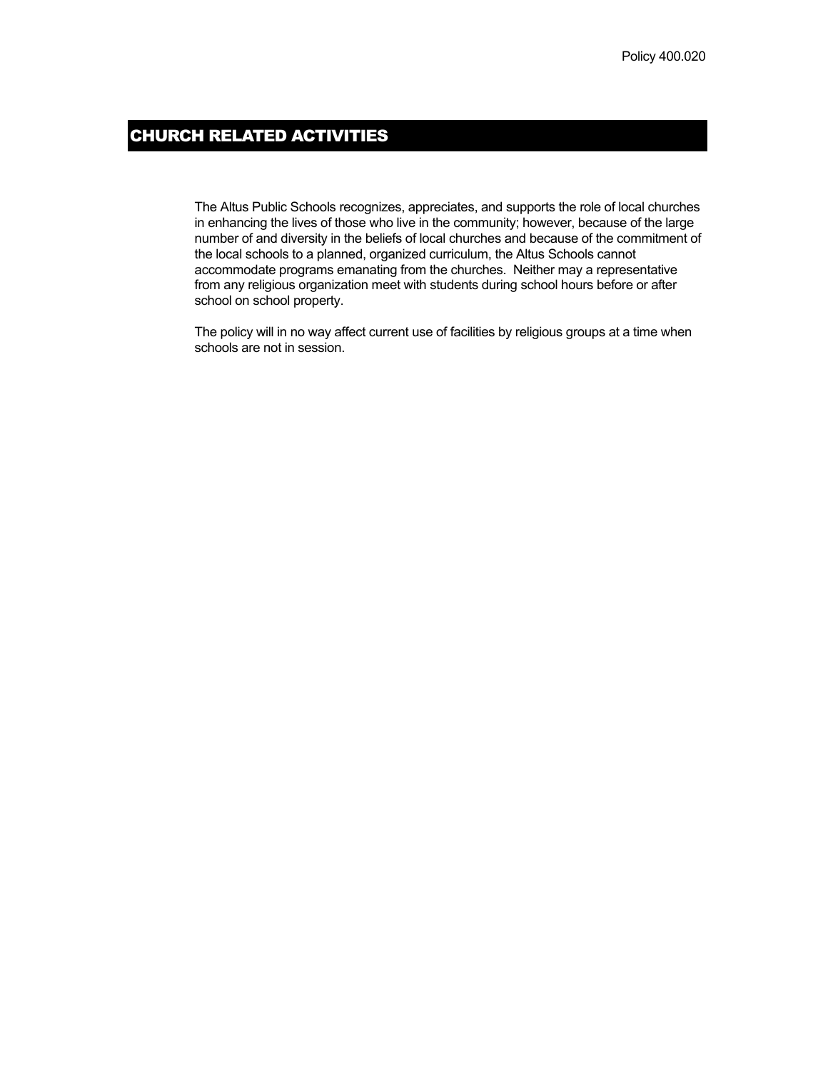# CHURCH RELATED ACTIVITIES

The Altus Public Schools recognizes, appreciates, and supports the role of local churches in enhancing the lives of those who live in the community; however, because of the large number of and diversity in the beliefs of local churches and because of the commitment of the local schools to a planned, organized curriculum, the Altus Schools cannot accommodate programs emanating from the churches. Neither may a representative from any religious organization meet with students during school hours before or after school on school property.

The policy will in no way affect current use of facilities by religious groups at a time when schools are not in session.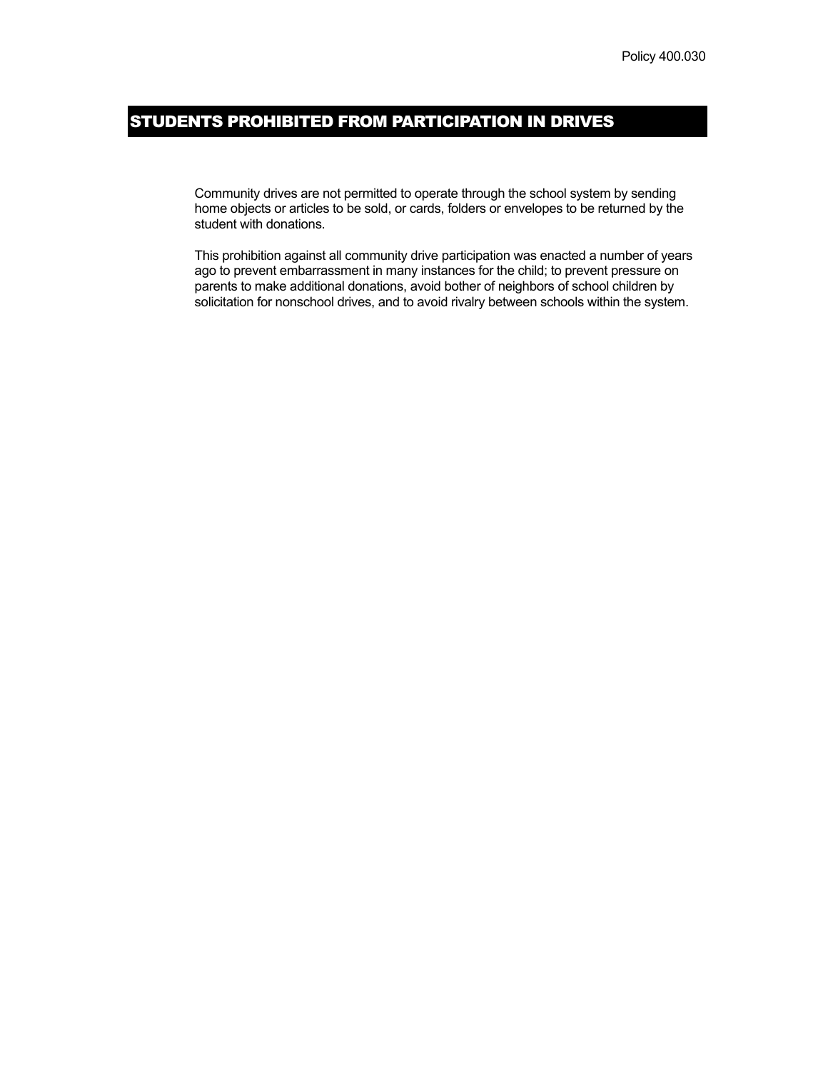# STUDENTS PROHIBITED FROM PARTICIPATION IN DRIVES

Community drives are not permitted to operate through the school system by sending home objects or articles to be sold, or cards, folders or envelopes to be returned by the student with donations.

This prohibition against all community drive participation was enacted a number of years ago to prevent embarrassment in many instances for the child; to prevent pressure on parents to make additional donations, avoid bother of neighbors of school children by solicitation for nonschool drives, and to avoid rivalry between schools within the system.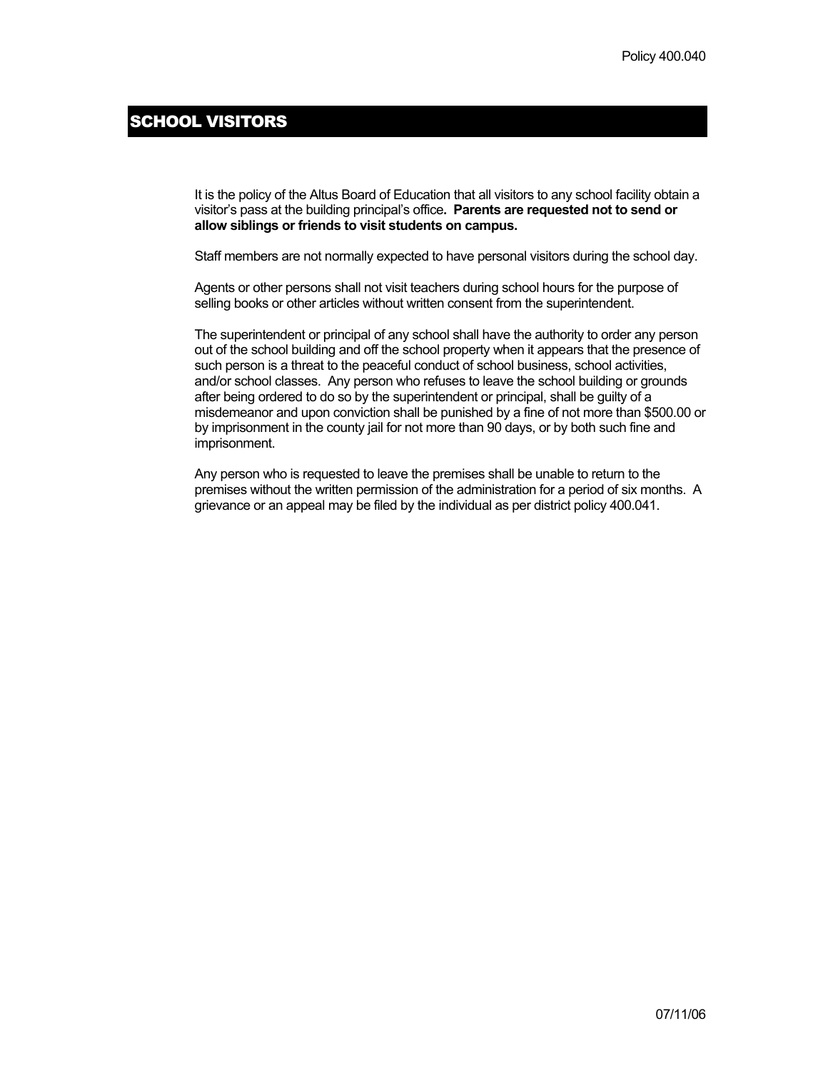### SCHOOL VISITORS

It is the policy of the Altus Board of Education that all visitors to any school facility obtain a visitor's pass at the building principal's office**. Parents are requested not to send or allow siblings or friends to visit students on campus.**

Staff members are not normally expected to have personal visitors during the school day.

Agents or other persons shall not visit teachers during school hours for the purpose of selling books or other articles without written consent from the superintendent.

The superintendent or principal of any school shall have the authority to order any person out of the school building and off the school property when it appears that the presence of such person is a threat to the peaceful conduct of school business, school activities, and/or school classes. Any person who refuses to leave the school building or grounds after being ordered to do so by the superintendent or principal, shall be guilty of a misdemeanor and upon conviction shall be punished by a fine of not more than \$500.00 or by imprisonment in the county jail for not more than 90 days, or by both such fine and imprisonment.

Any person who is requested to leave the premises shall be unable to return to the premises without the written permission of the administration for a period of six months. A grievance or an appeal may be filed by the individual as per district policy 400.041.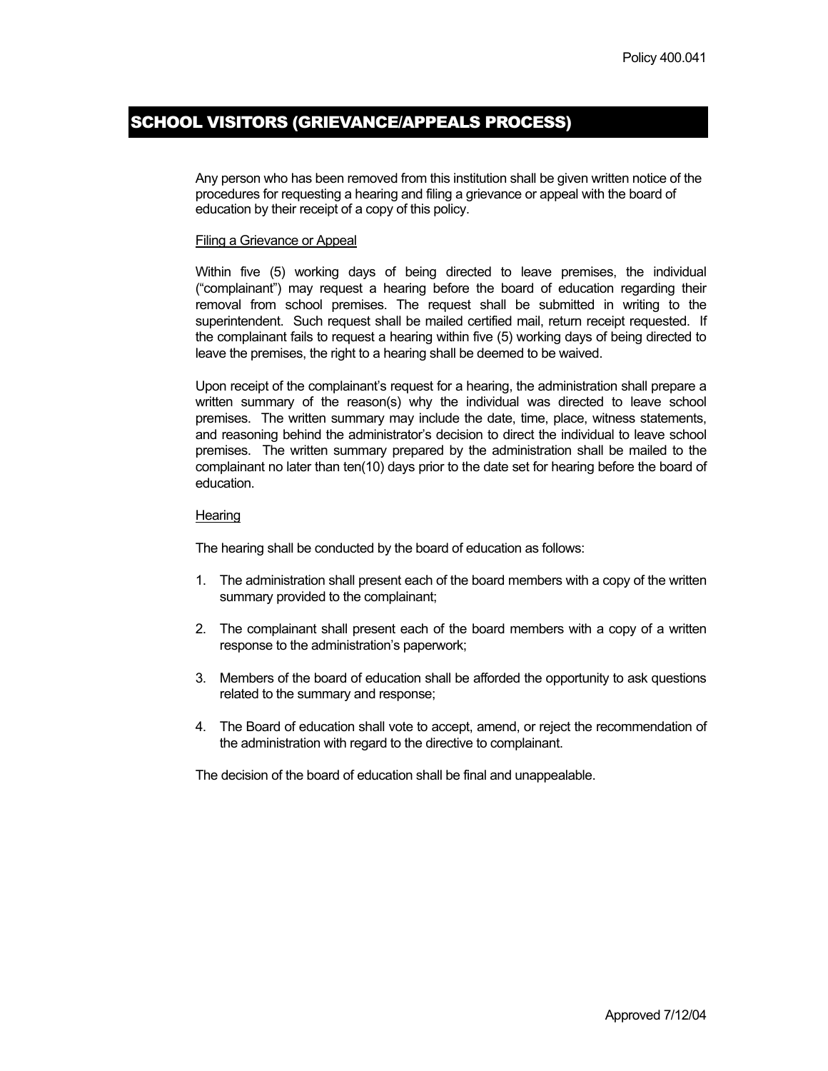# SCHOOL VISITORS (GRIEVANCE/APPEALS PROCESS)

Any person who has been removed from this institution shall be given written notice of the procedures for requesting a hearing and filing a grievance or appeal with the board of education by their receipt of a copy of this policy.

#### Filing a Grievance or Appeal

Within five (5) working days of being directed to leave premises, the individual ("complainant") may request a hearing before the board of education regarding their removal from school premises. The request shall be submitted in writing to the superintendent. Such request shall be mailed certified mail, return receipt requested. If the complainant fails to request a hearing within five (5) working days of being directed to leave the premises, the right to a hearing shall be deemed to be waived.

Upon receipt of the complainant's request for a hearing, the administration shall prepare a written summary of the reason(s) why the individual was directed to leave school premises. The written summary may include the date, time, place, witness statements, and reasoning behind the administrator's decision to direct the individual to leave school premises. The written summary prepared by the administration shall be mailed to the complainant no later than ten(10) days prior to the date set for hearing before the board of education.

#### **Hearing**

The hearing shall be conducted by the board of education as follows:

- 1. The administration shall present each of the board members with a copy of the written summary provided to the complainant;
- 2. The complainant shall present each of the board members with a copy of a written response to the administration's paperwork;
- 3. Members of the board of education shall be afforded the opportunity to ask questions related to the summary and response;
- 4. The Board of education shall vote to accept, amend, or reject the recommendation of the administration with regard to the directive to complainant.

The decision of the board of education shall be final and unappealable.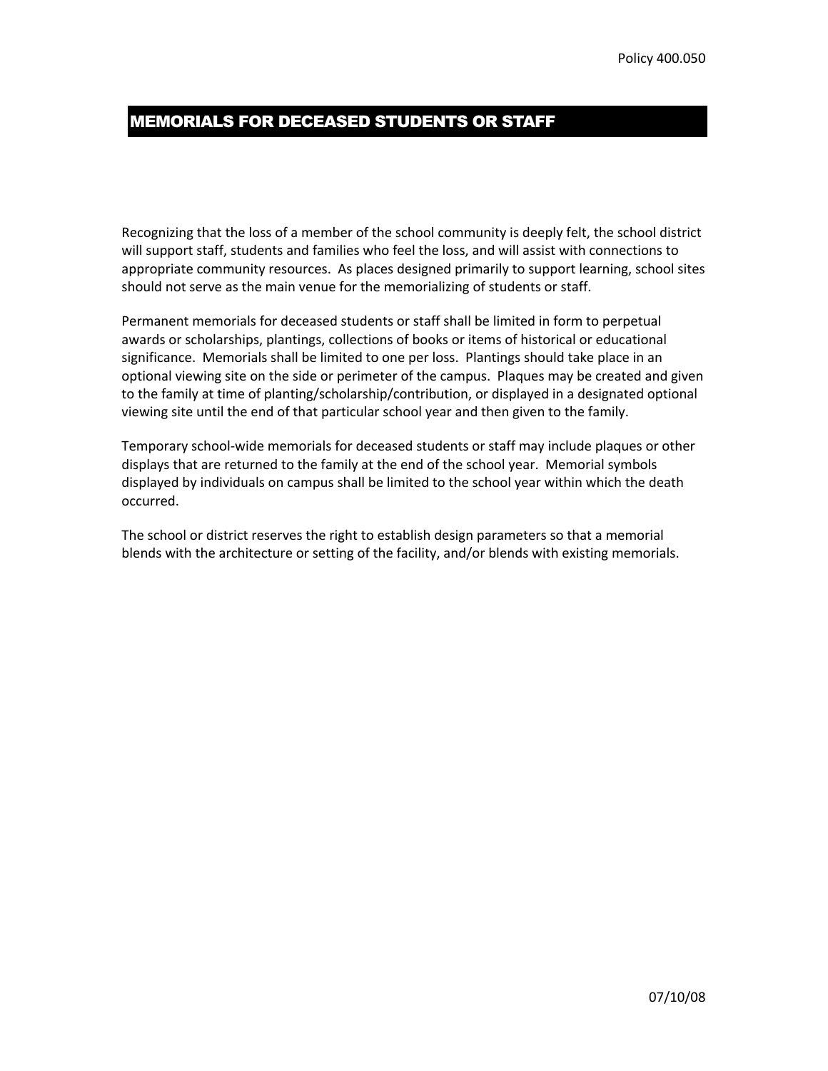### MEMORIALS FOR DECEASED STUDENTS OR STAFF

Recognizing that the loss of a member of the school community is deeply felt, the school district will support staff, students and families who feel the loss, and will assist with connections to appropriate community resources. As places designed primarily to support learning, school sites should not serve as the main venue for the memorializing of students or staff.

Permanent memorials for deceased students or staff shall be limited in form to perpetual awards or scholarships, plantings, collections of books or items of historical or educational significance. Memorials shall be limited to one per loss. Plantings should take place in an optional viewing site on the side or perimeter of the campus. Plaques may be created and given to the family at time of planting/scholarship/contribution, or displayed in a designated optional viewing site until the end of that particular school year and then given to the family.

Temporary school-wide memorials for deceased students or staff may include plaques or other displays that are returned to the family at the end of the school year. Memorial symbols displayed by individuals on campus shall be limited to the school year within which the death occurred.

The school or district reserves the right to establish design parameters so that a memorial blends with the architecture or setting of the facility, and/or blends with existing memorials.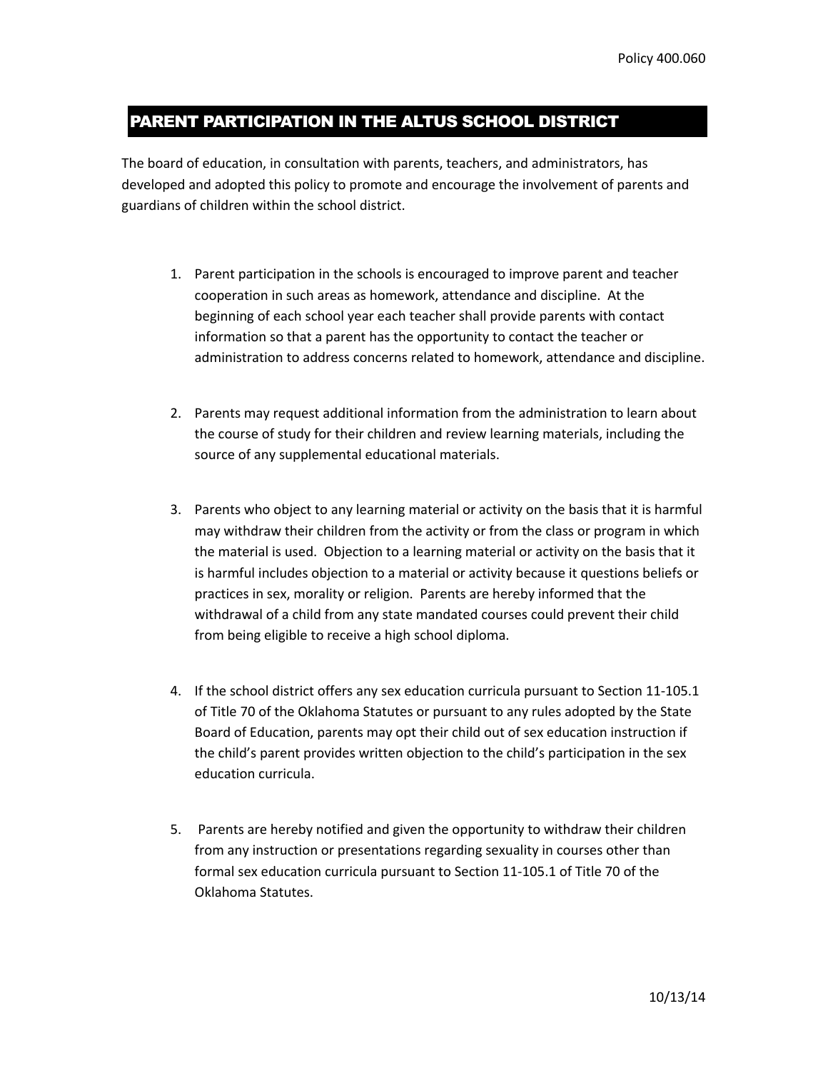### PARENT PARTICIPATION IN THE ALTUS SCHOOL DISTRICT

The board of education, in consultation with parents, teachers, and administrators, has developed and adopted this policy to promote and encourage the involvement of parents and guardians of children within the school district.

- 1. Parent participation in the schools is encouraged to improve parent and teacher cooperation in such areas as homework, attendance and discipline. At the beginning of each school year each teacher shall provide parents with contact information so that a parent has the opportunity to contact the teacher or administration to address concerns related to homework, attendance and discipline.
- 2. Parents may request additional information from the administration to learn about the course of study for their children and review learning materials, including the source of any supplemental educational materials.
- 3. Parents who object to any learning material or activity on the basis that it is harmful may withdraw their children from the activity or from the class or program in which the material is used. Objection to a learning material or activity on the basis that it is harmful includes objection to a material or activity because it questions beliefs or practices in sex, morality or religion. Parents are hereby informed that the withdrawal of a child from any state mandated courses could prevent their child from being eligible to receive a high school diploma.
- 4. If the school district offers any sex education curricula pursuant to Section 11-105.1 of Title 70 of the Oklahoma Statutes or pursuant to any rules adopted by the State Board of Education, parents may opt their child out of sex education instruction if the child's parent provides written objection to the child's participation in the sex education curricula.
- 5. Parents are hereby notified and given the opportunity to withdraw their children from any instruction or presentations regarding sexuality in courses other than formal sex education curricula pursuant to Section 11-105.1 of Title 70 of the Oklahoma Statutes.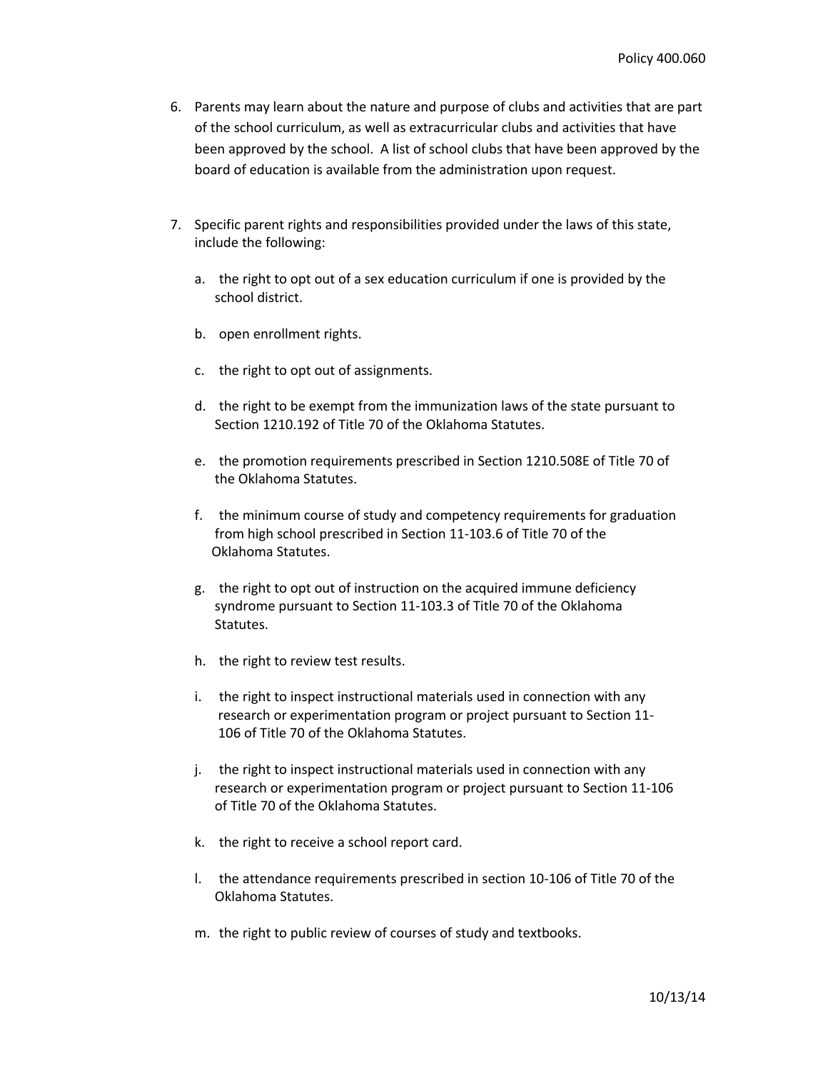- 6. Parents may learn about the nature and purpose of clubs and activities that are part of the school curriculum, as well as extracurricular clubs and activities that have been approved by the school. A list of school clubs that have been approved by the board of education is available from the administration upon request.
- 7. Specific parent rights and responsibilities provided under the laws of this state, include the following:
	- a. the right to opt out of a sex education curriculum if one is provided by the school district.
	- b. open enrollment rights.
	- c. the right to opt out of assignments.
	- d. the right to be exempt from the immunization laws of the state pursuant to Section 1210.192 of Title 70 of the Oklahoma Statutes.
	- e. the promotion requirements prescribed in Section 1210.508E of Title 70 of the Oklahoma Statutes.
	- f. the minimum course of study and competency requirements for graduation from high school prescribed in Section 11-103.6 of Title 70 of the Oklahoma Statutes.
	- g. the right to opt out of instruction on the acquired immune deficiency syndrome pursuant to Section 11-103.3 of Title 70 of the Oklahoma Statutes.
	- h. the right to review test results.
	- i. the right to inspect instructional materials used in connection with any research or experimentation program or project pursuant to Section 11- 106 of Title 70 of the Oklahoma Statutes.
	- j. the right to inspect instructional materials used in connection with any research or experimentation program or project pursuant to Section 11-106 of Title 70 of the Oklahoma Statutes.
	- k. the right to receive a school report card.
	- l. the attendance requirements prescribed in section 10-106 of Title 70 of the Oklahoma Statutes.
	- m. the right to public review of courses of study and textbooks.